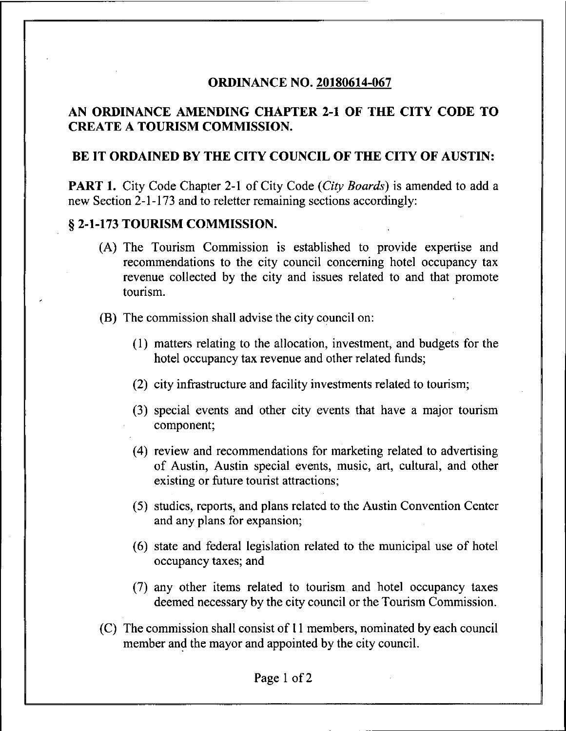## **ORDINANCE NO. 20180614-067**

## **AN ORDINANCE AMENDING CHAPTER 2-1 OF THE CITY CODE TO CREATE A TOURISM COMMISSION.**

## **BE IT ORDAINED BY THE CITY COUNCIL OF THE CITY OF AUSTIN:**

**PART 1.** City Code Chapter 2-1 of City Code (City Boards) is amended to add a new Section 2-1-173 and to reletter remaining sections accordingly:

## **§ 2-1-173 TOURISM COMMISSION.**

- (A) The Tourism Commission is established to provide expertise and recommendations to the city council concerning hotel occupancy tax revenue collected by the city and issues related to and that promote tourism.
- (B) The commission shall advise the city council on:
	- (1) matters relating to the allocation, investment, and budgets for the hotel occupancy tax revenue and other related funds;
	- (2) city infrastructure and facility investments related to tourism;
	- (3) special events and other city events that have a major tourism component;
	- (4) review and recommendations for marketing related to advertising of Austin, Austin special events, music, art, cultural, and other existing or future tourist attractions;
	- (5) studies, reports, and plans related to the Austin Convention Center and any plans for expansion;
	- (6) state and federal legislation related to the municipal use of hotel occupancy taxes; and
	- (7) any other items related to tourism and hotel occupancy taxes deemed necessary by the city council or the Tourism Commission.
- (C) The commission shall consist of 11 members, nominated by each council member and the mayor and appointed by the city council.